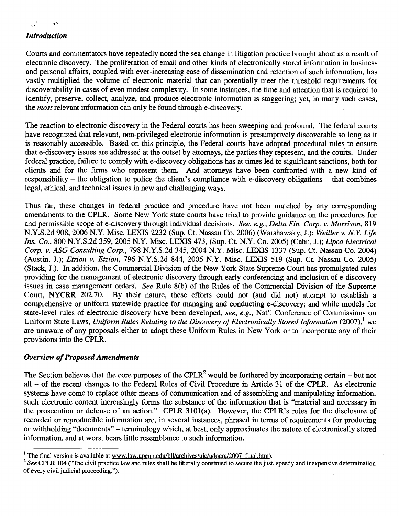# *Introduction*

 $\mathbf{v}^{\mathbf{t}}$ 

Courts and commentators have repeatedly noted the sea change in litigation practice brought about as a result of electronic discovery. The proliferation of email and other kinds of electronically stored information in business and personal affairs, coupled with ever-increasing ease of dissemination and retention of such information, has vastly multiplied the volume of electronic material that can potentially meet the threshold requirements for discoverability in cases of even modest complexity. In some instances, the time and attention that is required to identify, preserve, collect, analyze, and produce electronic information is staggering; yet, in many such cases, the *most* relevant information can only be found through e-discovery.

The reaction to electronic discovery in the Federal courts has been sweeping and profound. The federal courts have recognized that relevant, non-privileged electronic information is presumptively discoverable so long as it is reasonably accessible. Based on this principle, the Federal courts have adopted procedural rules to ensure that e-discovery issues are addressed at the outset by attorneys, the parties they represent, and the courts. Under federal practice, failure to comply with e-discovery obligations has at times led to significant sanctions, both for clients and for the firms who represent them. And attorneys have been confronted with a new kind of responsibility – the obligation to police the client's compliance with e-discovery obligations – that combines legal, ethical, and technical issues in new and challenging ways.

Thus far, these changes in federal practice and procedure have not been matched by any corresponding amendments to the CPLR. Some New York state courts have tried to provide guidance on the procedures for and permissible scope of e-discovery through individual decisions. *See, e.g., Delta Fin. Corp. v. Morrison,* 819 N.Y.S.2d 908, 2006 N.Y. Misc. LEXIS 2232 (Sup. Ct. Nassau Co. 2006) (Warshawsky, J.); *Weiller v. N.Y. Life Ins. Co.,* 800 N.Y.S.2d 359, 2005 N.Y. Misc. LEXIS 473, (Sup. Ct. N.Y. Co. 2005) (Cahn, J.); *Lipco Electrical Corp. v. ASG Consulting Corp.,* 798 N.Y.S.2d 345, 2004 N.Y. Misc. LEXIS 1337 (Sup. Ct. Nassau Co. 2004) (Austin, J.); *Etzion v. Etzion,* 796 N.Y.S.2d 844, 2005 N.Y. Misc. LEXIS 519 (Sup. Ct. Nassau Co. 2005) (Stack, J.). In addition, the Commercial Division of the New York State Supreme Court has promulgated rules providing for the management of electronic discovery through early conferencing and inclusion of e-discovery issues in case management orders. *See* Rule 8(b) of the Rules of the Commercial Division of the Supreme Court, NYCRR 202.70. By their nature, these efforts could not (and did not) attempt to establish a comprehensive or uniform statewide practice for managing and conducting e-discovery; and while models for state-level rules of electronic discovery have been developed, *see, e.g.,* Nat'I Conference of Commissions on Uniform State Laws, *Uniform Rules Relating to the Discovery of Electronically Stored Information* (2007),<sup>1</sup> we are unaware of any proposals either to adopt these Uniform Rules in New York or to incorporate any of their provisions into the CPLR.

#### *Overview of Proposed Amendments*

The Section believes that the core purposes of the CPLR<sup>2</sup> would be furthered by incorporating certain – but not all - of the recent changes to the Federal Rules of Civil Procedure in Article 31 of the CPLR. As electronic systems have come to replace other means of communication and of assembling and manipulating information, such electronic content increasingly forms the substance of the information that is "material and necessary in the prosecution or defense of an action." CPLR 310l(a). However, the CPLR's rules for the disclosure of recorded or reproducible information are, in several instances, phrased in terms of requirements for producing or withholding "documents" - terminology which, at best, only approximates the nature of electronically stored information, and at worst bears little resemblance to such information.

<sup>&</sup>lt;sup>1</sup> The final version is available at www.law.upenn.edu/bll/archives/ulc/udoera/2007\_final.htm).

<sup>&</sup>lt;sup>2</sup> See CPLR 104 ("The civil practice law and rules shall be liberally construed to secure the just, speedy and inexpensive determination of every civil judicial proceeding.").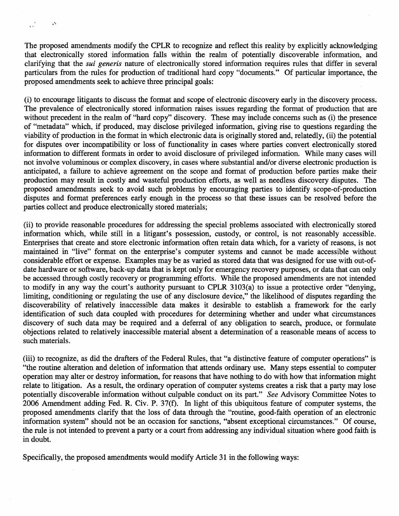The proposed amendments modify the CPLR to recognize and reflect this reality by explicitly acknowledging that electronically stored information falls within the realm of potentially discoverable information, and clarifying that the *sui generis* nature of electronically stored information requires rules that differ in several particulars from the rules for production of traditional hard copy "documents." Of particular importance, the proposed amendments seek to achieve three principal goals:

(i) to encourage litigants to discuss the format and scope of electronic discovery early in the discovery process. The prevalence of electronically stored information raises issues regarding the format of production that are without precedent in the realm of "hard copy" discovery. These may include concerns such as (i) the presence of "metadata" which, if produced, may disclose privileged information, giving rise to questions regarding the viability of production in the format in which electronic data is originally stored and, relatedly, (ii) the potential for disputes over incompatibility or loss of functionality in cases where parties convert electronically stored information to different formats in order to avoid disclosure of privileged information. While many cases will not involve voluminous or complex discovery, in cases where substantial and/or diverse electronic production is anticipated, a failure to achieve agreement on the scope and format of production before parties make their production may result in costly and wasteful production efforts, as well as needless discovery disputes. The proposed amendments seek to avoid such problems by encouraging parties to identify scope-of-production disputes and format preferences early enough in the process so that these issues can be resolved before the parties collect and produce electronically stored materials;

(ii) to provide reasonable procedures for addressing the special problems associated with electronically stored information which, while still in a litigant's possession, custody, or control, is not reasonably accessible. Enterprises that create and store electronic information often retain data which, for a variety of reasons, is not maintained in "live" format on the enterprise's computer systems and cannot be made accessible without considerable effort or expense. Examples may be as varied as stored data that was designed for use with out-ofdate hardware or software, back-up data that is kept only for emergency recovery purposes, or data that can only be accessed through costly recovery or programming efforts. While the proposed amendments are not intended to modify in any way the court's authority pursuant to CPLR 3103(a) to issue a protective order "denying, limiting, conditioning or regulating the use of any disclosure device," the likelihood of disputes regarding the discoverability of relatively inaccessible data makes it desirable to establish a framework for the early identification of such data coupled with procedures for determining whether and under what circumstances discovery of such data may be required and a deferral of any obligation to search, produce, or formulate objections related to relatively inaccessible material absent a determination of a reasonable means of access to such materials.

(iii) to recognize, as did the drafters of the Federal Rules, that "a distinctive feature of computer operations" is "the routine alteration and deletion of information that attends ordinary use. Many steps essential to computer operation may alter or destroy information, for reasons that have nothing to do with how that information might relate to litigation. As a result, the ordinary operation of computer systems creates a risk that a party may lose potentially discoverable information without culpable conduct on its part." *See* Advisory Committee Notes to 2006 Amendment adding Fed. R. Civ. P. 37(f). In light of this ubiquitous feature of computer systems, the proposed amendments clarify that the loss of data through the "routine, good-faith operation of an electronic information system" should not be an occasion for sanctions, "absent exceptional circumstances." Of course, the rule is not intended to prevent a party or a court from addressing any individual situation where good faith is in doubt.

Specifically, the proposed amendments would modify Article 31 in the following ways: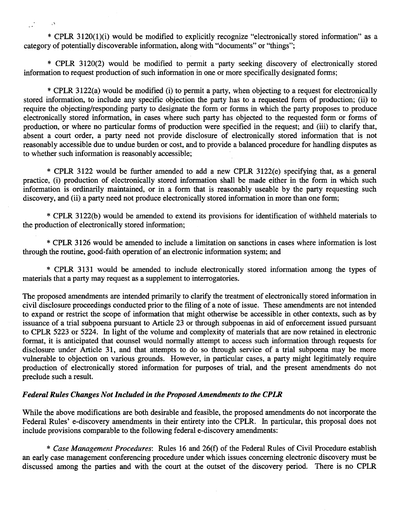\* CPLR 3120(1)(i) would be modified to explicitly recognize "electronically stored information" as a category of potentially discoverable information, along with "documents" or "things";

 $\mathcal{L}$ 

 $\Lambda$ 

\* CPLR 3120(2) would be modified to permit a party seeking discovery of electronically stored information to request production of such information in one or more specifically designated forms;

\* CPLR 3122(a) would be modified (i) to permit a party, when objecting to a request for electronically stored information, to include any specific objection the party has to a requested form of production; (ii) to require the objecting/responding party to designate the form or forms in which the party proposes to produce electronically stored information, in cases where such party has objected to the requested form or forms of production, or where no particular forms of production were specified in the request; and (iii) to clarify that, absent a court order, a party need not provide disclosure of electronically stored information that is not reasonably accessible due to undue burden or cost, and to provide a balanced procedure for handling disputes as to whether such information is reasonably accessible;

\* CPLR 3122 would be further amended to add a new CPLR 3122(e) specifying that, as a general practice, (i) production of electronically stored information shall be made either in the form in which such information is ordinarily maintained, or in a form that is reasonably useable by the party requesting such discovery, and (ii) a party need not produce electronically stored information in more than one form;

\* CPLR 3122(b) would be amended to extend its provisions for identification of withheld materials to the production of electronically stored information;

\* CPLR 3126 would be amended to include a limitation on sanctions in cases where information is lost through the routine, good-faith operation of an electronic information system; and

\* CPLR 3131 would be amended to include electronically stored information among the types of materials that a party may request as a supplement to interrogatories.

The proposed amendments are intended primarily to clarify the treatment of electronically stored information in civil disclosure proceedings conducted prior to the filing of a note of issue. These amendments are not intended to expand or restrict the scope of information that might otherwise be accessible in other contexts, such as by issuance of a trial subpoena pursuant to Article 23 or through subpoenas in aid of enforcement issued pursuant to CPLR 5223 or 5224. In light of the volume and complexity of materials that are now retained in electronic format, it is anticipated that counsel would normally attempt to access such information through requests for disclosure under Article 31, and that attempts to do so through service of a trial subpoena may be more vulnerable to objection on various grounds. However, in particular cases, a party might legitimately require production of electronically stored information for purposes of trial, and the present amendments do not preclude such a result.

## *Federal Rules Changes Not Included in the Proposed Amendments to the CPLR.*

While the above modifications are both desirable and feasible, the proposed amendments do not incorporate the Federal Rules' e-discovery amendments in their entirety into the CPLR. In particular, this proposal does not include provisions comparable to the following federal e-discovery amendments:

\* *Case Management Procedures:* Rules 16 and 26(f) of the Federal Rules of Civil Procedure establish an early case management conferencing procedure under which issues concerning electronic discovery must be discussed among the parties and with the court at the outset of the discovery period. There is no CPLR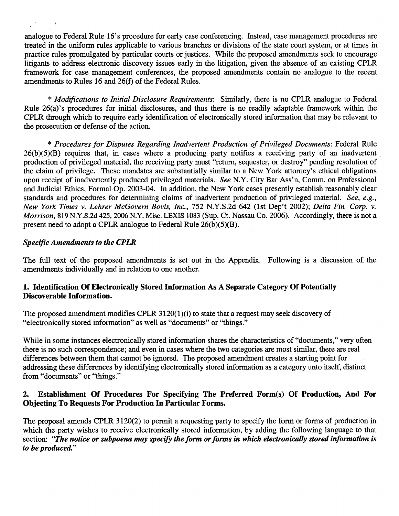analogue to Federal Rule 16's procedure for early case conferencing. Instead, case management procedures are treated in the uniform rules applicable to various branches or divisions of the state court system, or at times in practice rules promulgated by particular courts or justices. While the proposed amendments seek to encourage litigants to address electronic discovery issues early in the litigation, given the absence of an existing CPLR framework for case management conferences, the proposed amendments contain no analogue to the recent amendments to Rules 16 and 26(f) of the Federal Rules.

*\*Modifications to Initial Disclosure Requirements:* Similarly, there is no CPLR analogue to Federal Rule 26(a)'s procedures for initial disclosures, and thus there is no readily adaptable framework within the CPLR through which to require early identification of electronically stored information that may be relevant to the prosecution or defense of the action.

\* *Procedures for Disputes Regarding Inadvertent Production of Privileged Documents:* Federal Rule 26(b)(5)(B) requires that, in cases where a producing party notifies a receiving party of an inadvertent production of privileged material, the receiving party must "return, sequester, or destroy" pending resolution of the claim of privilege. These mandates are substantially similar to a New York attorney's ethical obligations upon receipt of inadvertently produced privileged materials. *See* N.Y. City Bar Ass'n, Comm. on Professional and Judicial Ethics, Formal Op. 2003-04. In addition, the New York cases presently establish reasonably clear standards and procedures for determining claims of inadvertent production of privileged material. *See, e.g., New York Times v. Lehrer McGovern Bovis, Inc.,* 752 N.Y.S.2d 642 (1st Dep't 2002); *Delta Fin. Corp. v. Morrison,* 819 N.Y.S.2d 425, 2006 N.Y. Misc. LEXIS 1083 (Sup. Ct. Nassau Co. 2006). Accordingly, there is not a present need to adopt a CPLR analogue to Federal Rule 26(b)(5)(B).

## *Specific Amendments to the CPLR*

 $, \mathbf{t}$ 

 $\mathbb{R}^3$ 

The full text of the proposed amendments is set out in the Appendix. Following is a discussion of the amendments individually and in relation to one another.

# 1. Identification Of Electronically Stored Information As A Separate Category Of Potentially Discoverable Information.

The proposed amendment modifies CPLR 3120(1)(i) to state that a request may seek discovery of "electronically stored information" as well as "documents" or "things."

While in some instances electronically stored information shares the characteristics of "documents," very often there is no such correspondence; and even in cases where the two categories are most similar, there are real differences between them that cannot be ignored. The proposed amendment creates a starting point for addressing these differences by identifying electronically stored information as a category unto itself, distinct from "documents" or "things."

# 2. Establishment Of Procedures For Specifying The Preferred Form(s) Of Production, And For Objecting To Requests For Production In Particular Forms.

The proposal amends CPLR 3120(2) to permit a requesting party to specify the form or forms of production in which the party wishes to receive electronically stored information, by adding the following language to that section: *"The notice or subpoena may specify the form or forms in which electronically stored information is to be produced."*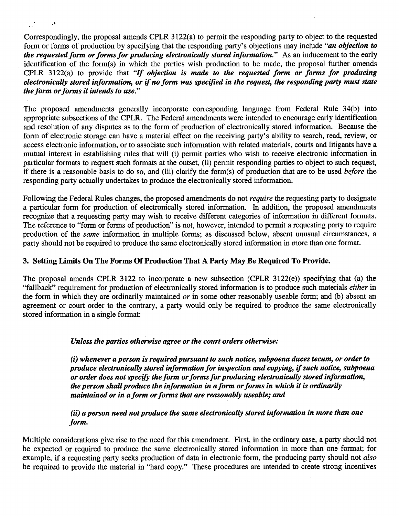Correspondingly, the proposal amends CPLR 3122(a) to permit the responding party to object to the requested form or forms of production by specifying that the responding party's objections may include *"an objection to the requested form or forms for producing electronically stored information.*" As an inducement to the early identification of the form(s) in which the parties wish production to be made, the proposal further amends CPLR 3122(a) to provide that "If *objection is made to the requested form or forms for producing electronically stored information, or* if *no form was specified in the request, the responding party must state the form or forms it intends to use."* 

·'

The proposed amendments generally incorporate corresponding language from Federal Rule 34(b) into appropriate subsections of the CPLR. The Federal amendments were intended to encourage early identification and resolution of any disputes as to the form of production of electronically stored information. Because the form of electronic storage can have a material effect on the receiving party's ability to search, read, review, or access electronic information, or to assoeiate such information with related materials, courts and litigants have a mutual interest in establishing rules that will (i) permit parties who wish to receive electronic information in particular formats to request such formats at the outset, (ii) permit responding parties to object to such request, if there is a reasonable basis to do so, and (iii) clarify the form(s) of production that are to be used *before* the responding party actually undertakes to produce the electronically stored information.

Following the Federal Rules changes, the proposed amendments do not *require* the requesting party to designate a particular form for production of electronically stored information. In addition, the proposed amendments recognize that a requesting party may wish to receive different categories of information in different formats. The reference to "form or forms of production" is not, however, intended to permit a requesting party to require production of the *same* information in multiple forms; as discussed below, absent unusual circumstances, a party should not be required to produce the same electronically stored information in more than one format.

# 3. Setting Limits On The Forms Of Production That A Party May Be Required To Provide.

The proposal amends CPLR 3122 to incorporate a new subsection (CPLR 3122(e)) specifying that (a) the "fallback" requirement for production of electronically stored information is to produce such materials *either* in the form in which they are ordinarily maintained *or* in some other reasonably useable form; and (b) absent an agreement or court order to the contrary, a party would only be required to produce the same electronically stored information in a single format:

## *Unless the parties otherwise agree or the court orders otherwise:*

*(i) whenever a person is required pursuant to such notice, subpoena duces tecum, or order to produce electronically stored information for inspection and copying,* if *such notice, subpoena or order does not specify the form or forms for producing electronically stored information, the person shall produce the information in a form or forms in which it is ordinarily maintained or in a form or forms that are reasonably useable; and* 

*(ii) a person need not produce the same electronically stored information in more than one form.* 

Multiple considerations give rise to the need for this amendment. First, in the ordinary case, a party should not be expected or required to produce the same electronically stored information in more than one format; for example, if a requesting party seeks production of data in electronic form, the producing party should not *also*  be required to provide the material in "hard copy." These procedures are intended to create strong incentives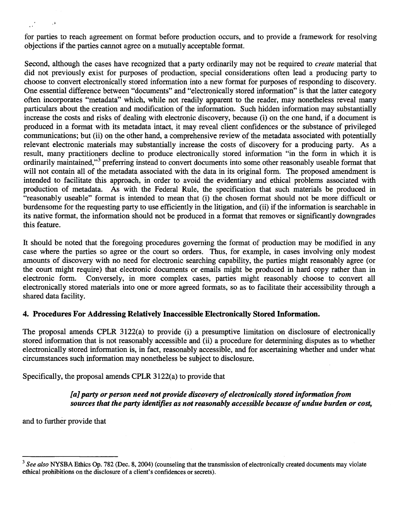for parties to reach agreement on format before production occurs, and to provide a framework for resolving objections if the parties cannot agree on a mutually acceptable format.

Second, although the cases have recognized that a party ordinarily may not be required to *create* material that did not previously exist for purposes of production, special considerations often lead a producing party to choose to convert electronically stored information into a new format for purposes of responding to discovery. One essential difference between "documents" and "electronically stored information" is that the latter category often incorporates "metadata" which, while not readily apparent to the reader, may nonetheless reveal many particulars about the creation and modification of the information. Such hidden information may substantially increase the costs and risks of dealing with electronic discovery, because (i) on the one hand, if a document is produced in a format with its metadata intact, it may reveal client confidences or the substance of privileged communications; but (ii) on the other hand, a comprehensive review of the metadata associated with potentially relevant electronic materials may substantially increase the costs of discovery for a producing party. As a result, many practitioners decline to produce electronically stored information "in the form in which it is ordinarily maintained,"<sup>3</sup> preferring instead to convert documents into some other reasonably useable format that will not contain all of the metadata associated with the data in its original form. The proposed amendment is intended to facilitate this approach, in order to avoid the evidentiary and ethical problems associated with production of metadata. As with the Federal Rule, the specification that such materials be produced in "reasonably useable" format is intended to mean that (i) the chosen format should not be more difficult or burdensome for the requesting party to use efficiently in the litigation, and (ii) if the information is searchable in its native format, the information should not be produced in a format that removes or significantly downgrades this feature.

It should be noted that the foregoing procedures governing the format of production may be modified in any case where the parties so agree or the court so orders. Thus, for example, in cases involving only modest amounts of discovery with no need for electronic searching capability, the parties might reasonably agree (or the court might require) that electronic documents or emails might be produced in hard copy rather than in electronic form. Conversely, in more complex cases, parties might reasonably choose to convert all Conversely, in more complex cases, parties might reasonably choose to convert all electronically stored materials into one or more agreed formats, so as to facilitate their accessibility through a shared data facility.

# 4. Procedures For Addressing Relatively Inaccessible Electronically Stored Information.

The proposal amends CPLR 3122(a) to provide (i) a presumptive limitation on disclosure of electronically stored information that is not reasonably accessible and (ii) a procedure for determining disputes as to whether electronically stored information is, in fact, reasonably accessible, and for ascertaining whether and under what circumstances such information may nonetheless be subject to disclosure.

Specifically, the proposal amends CPLR 3122(a) to provide that

## *[a] party or person need not provide discovery of electronically stored information from sources that the party identifies as not reasonably accessible because of undue burden or cost,*

and to further provide that

 $\rightarrow$ 

<sup>&</sup>lt;sup>3</sup> See also NYSBA Ethics Op. 782 (Dec. 8, 2004) (counseling that the transmission of electronically created documents may violate ethical prohibitions on the disclosure of a client's confidences or secrets).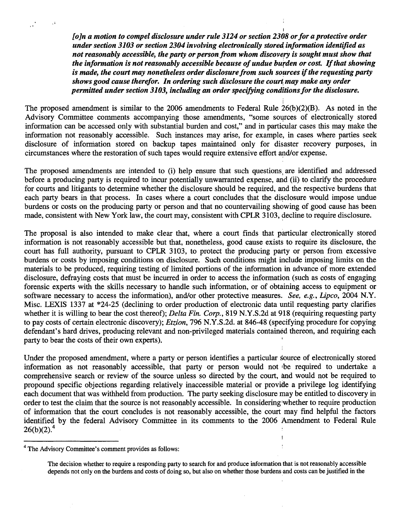" is a second contract of the contract of the contract of the contract of the contract of the contract of the c<br>I *[o]n a motion to compel disclosure under rule 3124 or section 2308 or for a protective order* 

 $\mathcal{L}$ 

*under section 3103 or section 2304 involving electronically storedi information identified as not reasonably accessible, the party or person from whom discovery is sought must show that the information is not reasonably accessible because of undue burden or cost. If that showing is made, the court may nonetheless order disclosure from such sources* if *the requesting party shows good cause therefor. In ordering such disclosure the court may make any order permitted under section 3103, including an order specifying conditions for the disclosure.* 

i The proposed amendment is similar to the 2006 amendments to Federal Rule 26(b)(2)(B). As noted in the Advisory Committee comments accompanying those amendments, "some sources of electronically stored information can be accessed only with substantial burden and cost," and in particular cases this may make the information not reasonably accessible. Such instances may arise, for example, in cases where parties seek disclosure of information stored on backup tapes maintained only for disaster recovery purposes, in circumstances where the restoration of such tapes would require extensive effort and/or expense.

The proposed amendments are intended to (i) help ensure that such questions, are identified and addressed before a producing party is required to incur potentially unwarranted expense, and (ii) to clarify the procedure for courts and litigants to determine whether the disclosure should be required, and the respective burdens that each party bears in that process. In cases where a court concludes that the disclosure would impose undue burdens or costs on the producing party or person and that no countervailing showing of good cause has been made, consistent with New York law, the court may, consistent with CPLR 3103, decline to require disclosure.

The proposal is also intended to make clear that, where a court finds that particular electronically stored information is not reasonably accessible but that, nonetheless, good cause exists to require its disclosure, the court has full authority, pursuant to CPLR 3103, to protect the producing party or person from excessive burdens or costs by imposing conditions on disclosure. Such conditions might include imposing limits on the materials to be produced, requiring testing of limited portions of the information in advance of more extended disclosure, defraying costs that must be incurred in order to access the information (such as costs of engaging forensic experts with the skills necessary to handle such information, or of obtaining access to equipment or software necessary to access the information), and/or other protective measures. *See, e.g., Lipco,* 2004 N.Y. Misc. LEXIS 1337 at \*24-25 (declining to order production of electronic data until requesting party clarifies whether it is willing to bear the cost thereof); *Delta Fin. Corp.,* 819 N.Y.S.2d at 918 (requiring requesting party to pay costs of certain electronic discovery); *Etzion,* 796 N.Y.S.2d. at 846-48 (specifying procedure for copying defendant's hard drives, producing relevant and non-privileged materials contained thereon, and requiring each party to bear the costs of their own experts).

Under the proposed amendment, where a party or person identifies a particular source of electronically stored information as not reasonably accessible, that party or person would not 1 be required to undertake a comprehensive search or review of the source unless so directed by the court, and would not be required to propound specific objections regarding relatively inaccessible material or provide a privilege log identifying each document that was withheld from production. The party seeking disclosure may be entitled to discovery in order to test the claim that the source is not reasonably accessible. In considering whether to require production of information that the court concludes is not reasonably accessible, the court may find helpful the factors identified by the federal Advisory Committee in its comments to the 2006 Amendment to Federal Rule  $26(b)(2).<sup>4</sup>$ 

 $\overline{1}$ 

<sup>4</sup> The Advisory Committee's comment provides as follows:

The decision whether to require a responding party to search for and produce information that is not reasonably accessible depends not only on the burdens and costs of doing so, but also on whether those burdens:and costs can be justified in the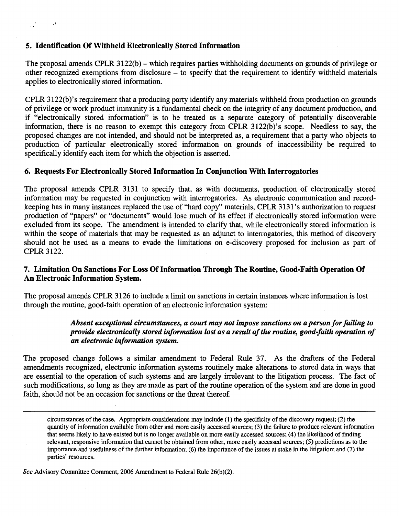# 5. Identification Of Withheld Electronically Stored Information

The proposal amends CPLR  $3122(b)$  – which requires parties withholding documents on grounds of privilege or other recognized exemptions from disclosure - to specify that the requirement to identify withheld materials applies to electronically stored information.

CPLR 3122(b)'s requirement that a producing party identify any materials withheld from production on grounds of privilege or work product immunity is a fundamental check on the integrity of any document production, and if "electronically stored information" is to be treated as a separate category of potentially discoverable information, there is no reason to exempt this category from CPLR 3122(b)'s scope. Needless to say, the proposed changes are not intended, and should not be interpreted as, a requirement that a party who objects to production of particular electronically stored information on grounds of inaccessibility be required to specifically identify each item for which the objection is asserted.

## 6. Requests For Electronically Stored Information In Conjunction With Interrogatories

The proposal amends CPLR 3131 to specify that, as with documents, production of electronically stored information may be requested in conjunction with interrogatories. As electronic communication and recordkeeping has in many instances replaced the use of "hard copy" materials, CPLR 3131's authorization to request production of "papers" or "documents" would lose much of its effect if electronically stored information were excluded from its scope. The amendment is intended to clarify that, while electronically stored information is within the scope of materials that may be requested as an adjunct to interrogatories, this method of discovery should not be used as a means to evade the limitations on e-discovery proposed for inclusion as part of CPLR 3122.

# 7. Limitation On Sanctions For Loss Of Information Through The Routine, Good-Faith Operation Of An Electronic Information System.

The proposal amends CPLR 3126 to include a limit on sanctions in certain instances where information is lost through the routine, good-faith operation of an electronic information system:

# *Absent exceptional circumstances, a court may not impose sanctions on a person for failing to provide electronically stored information lost as a result of the routine, good-faith operation of an electronic information system.*

The proposed change follows a similar amendment to Federal Rule 37. As the drafters of the Federal amendments recognized, electronic information systems routinely make alterations to stored data in ways that are essential to the operation of such systems and are largely irrelevant to the litigation process. The fact of such modifications, so long as they are made as part of the routine operation of the system and are done in good faith, should not be an occasion for sanctions or the threat thereof.

See Advisory Committee Comment, 2006 Amendment to Federal Rule 26(b)(2).

circumstances of the case. Appropriate considerations may include (1) the specificity of the discovery request; (2) the quantity of information available from other and more easily accessed sources; (3) the failure to produce relevant information that seems likely to have existed but is no longer available on more easily accessed sources; (4) the likelihood of finding relevant, responsive information that cannot be obtained from other, more easily accessed sources; (5) predictions as to the importance and usefulness of the further information; (6) the importance of the issues at stake in the litigation; and (7) the parties' resources.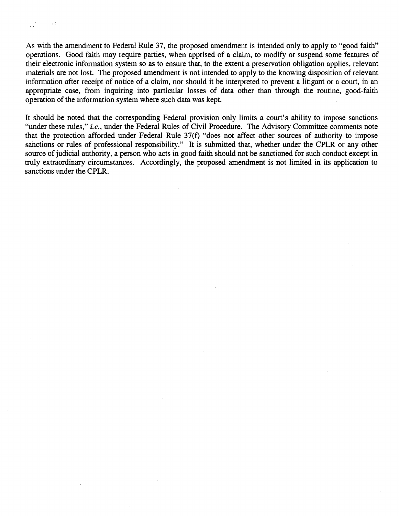#### $\mathcal{L}$

As with the amendment to Federal Rule 37, the proposed amendment is intended only to apply to "good faith" operations. Good faith may require parties, when apprised of a claim, to modify or suspend some features of their electronic information system so as to ensure that, to the extent a preservation obligation applies, relevant materials are not lost. The proposed amendment is not intended to apply to the knowing disposition of relevant information after receipt of notice of a claim, nor should it be interpreted to prevent a litigant or a court, in an appropriate case, from inquiring into particular losses of data other than through the routine, good-faith operation of the information system where such data was kept.

It should be noted that the corresponding Federal provision only limits a court's ability to impose sanctions "under these rules," *i.e.,* under the Federal Rules of Civil Procedure. The Advisory Committee comments note that the protection afforded under Federal Rule 37(f) "does not affect other sources of authority to impose sanctions or rules of professional responsibility." It is submitted that, whether under the CPLR or any other source of judicial authority, a person who acts in good faith should not be sanctioned for such conduct except in truly extraordinary circumstances. Accordingly, the proposed amendment is not limited in its application to sanctions under the CPLR.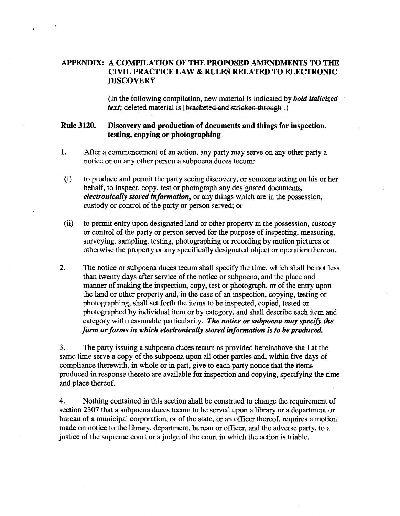# APPENDIX: A COMPILATION OF THE PROPOSED AMENDMENTS TO THE CIVIL PRACTICE LAW & RULES RELATED TO ELECTRONIC **DISCOVERY**

 $\hat{\phi}$ 

 $\overline{a}$ 

(In the following compilation, new material is indicated by *bold italicized text*; deleted material is [braeketed and strieken through].)

#### Rule 3120. Discovery and production of documents and things for inspection, testing, copying or photographing

- 1. After a commencement of an action, any party may serve on any other party a notice or on any other person a subpoena duces tecum:
- (i) to produce and permit the party seeing discovery, or someone acting on his or her behalf, to inspect, copy, test or photograph any designated documents, *electronically stored information,* or any things which are in the possession, custody or control of the party or person served; or
- (ii) to permit entry upon designated land or other property in the possession, custody or control of the party or person served for the purpose of inspecting, measuring, surveying, sampling, testing, photographing or recording by motion pictures or otherwise the property or any specifically designated object or operation thereon.
- 2. The notice or subpoena duces tecum shall specify the time, which shall be not less than twenty days after service of the notice or subpoena, and the place and manner of making the inspection, copy, test or photograph, or of the entry upon the land or other property and, in the case of an inspection, copying, testing or photographing, shall set forth the items to be inspected, copied, tested or photographed by individual item or by category, and shall describe each item and category with reasonable particularity. *The notice or subpoena may specify the form or forms in which electronically stored information is to be produced.*

3. The party issuing a subpoena duces tecum as provided hereinabove shall at the same time serve a copy of the subpoena upon all other parties and, within five days of compliance therewith, in whole or in part, give to each party notice that the items produced in response thereto are available for inspection and copying, specifying the time and place thereof.

4. Nothing contained in this section shall be construed to change the requirement of section 2307 that a subpoena duces tecum to be served upon a library or a department or bureau of a municipal corporation, or of the state, or an officer thereof, requires a motion made on notice to the library, department, bureau or officer, and the adverse party, to a justice of the supreme court or a judge of the court in which the action is triable.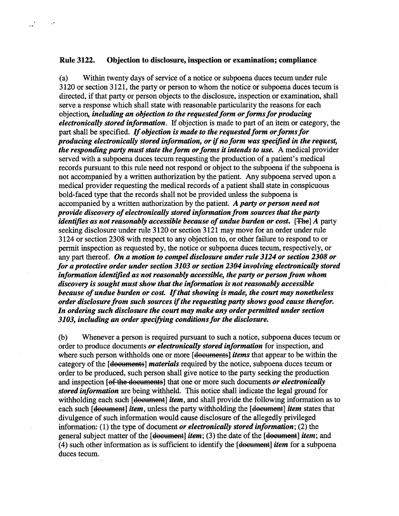#### Rule 3122. Objection to disclosure, inspection or examination; compliance

 $\mathcal{C}$ 

 $\rightarrow$ 

(a) Within twenty days of service of a notice or subpoena duces tecum under rule 3120 or section 3121, the party or person to whom the notice or subpoena duces tecum is directed, if that party or person objects to the disclosure, inspection or examination, shall serve a response which shall state with reasonable particularity the reasons for each objection, *including an objection to the requested form or forms for producing electronically stored information.* If objection is made to part of an item or category, the part shall be specified. *If objection is made to the requested form or forms for producing electronically stored information, or* if *no form was specified in the request, the responding party must state the form or forms it intends to use.* A medical provider served with a subpoena duces tecum requesting the production of a patient's medical records pursuant to this rule need not respond or object to the subpoena if the subpoena is not accompanied by a written authorization by the patient. Any subpoena served upon a medical provider requesting the medical records of a patient shall state in conspicuous bold-faced type that the records shall not be provided unless the subpoena is accompanied by a written authorization by the patient. *A party or person need not provide discovery of electronically stored information from sources that the party identifies as not reasonably accessible because of undue burden or cost.* [The] A party seeking disclosure under rule 3120 or section 3121 may move for an order under rule 3124 or section 2308 with respect to any objection to, or other failure to respond to or permit inspection as requested by, the notice or subpoena duces tecum, respectively, or any part thereof. *On a motion to compel disclosure under rule 3124 or section 2308 or for a protective order under section 3103 or section 2304 involving electronically stored information identified as not reasonably accessible, the party or person from whom discovery is sought must show that the information is not reasonably accessible because of undue burden or cost. If that showing is made, the court may nonetheless order disclosure from such sources* if *the requesting party shows good cause therefor. In ordering such disclosure the court may make any order permitted under section 3103, including an order specifying conditions for the disclosure.* 

(b) Whenever a person is required pursuant to such a notice, subpoena duces tecum or order to produce documents *or electronically stored information* for inspection, and where such person withholds one or more [doeuments] *items* that appear to be within the category of the [doeuments] *materials* required by the notice, subpoena duces tecum or order to be produced, such person shall give notice to the party seeking the production and inspection [of the documents] that one or more such documents *or electronically stored information* are being withheld. This notice shall indicate the legal ground for withholding each such [doeument] *item*, and shall provide the following information as to each such [doeument] *item*, unless the party withholding the [doeument] *item* states that divulgence of such information would cause disclosure of the allegedly privileged information: (1) the type of document *or electronically stored information;* (2) the general subject matter of the [doeument] *item*; (3) the date of the [doeument] *item*; and (4) such other information as is sufficient to identify the [doeument] *item* for a subpoena duces tecum.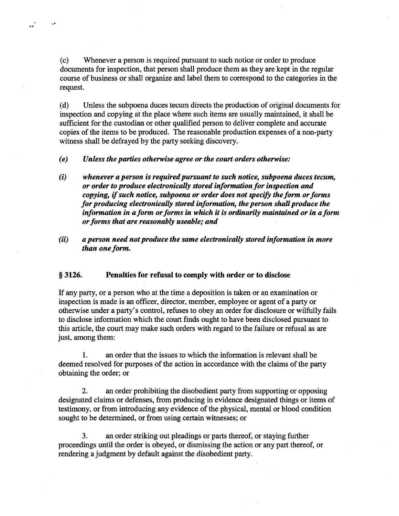( c) Whenever a person is required pursuant to such notice or order to produce documents for inspection, that person shall produce them as they are kept in the regular course of business or shall organize and label them to correspond to the categories in the request.

( d) Unless the subpoena duces tecum directs the production of original documents for inspection and copying at the place where such items are usually maintained, it shall be sufficient for the custodian or other qualified person to deliver complete and accurate copies of the items to be produced. The reasonable production expenses of a non-party witness shall be defrayed by the party seeking discovery.

#### *(e) Unless the parties otherwise agree or the court orders otherwise:*

w

- *(i) whenever a person is required pursuant to such notice, subpoena duces tecum, or order to produce electronically stored information for inspection and copying,* if *such notice, subpoena or order does not specify the form or forms for producing electronically stored information, the person shall produce the information in a form or forms in which it is ordinarily maintained or in a form or forms that are reasonably useable; and*
- (ii) *a person need not produce the same electronically stored information in more than one form.*

#### § 3126. Penalties for refusal to comply with order or to disclose

If any party, or a person who at the time a deposition is taken or an examination or inspection is made is an officer, director, member, employee or agent of a party or otherwise under a party's control, refuses to obey an order for disclosure or wilfully fails to disclose information which the court finds ought to have been disclosed pursuant to this article, the court may make such orders with regard to the failure or refusal as are just, among them:

1. an order that the issues to which the information is relevant shall be deemed resolved for purposes of the action in accordance with the claims of the party obtaining the order; or

2. an order prohibiting the disobedient party from supporting or opposing designated claims or defenses, from producing in evidence designated things or items of testimony, or from introducing any evidence of the physical, mental or blood condition sought to be determined, or from using certain witnesses; or

3. an order striking out pleadings or parts thereof, or staying further proceedings until the order is obeyed, or dismissing the action or any part thereof, or rendering a judgment by default against the disobedient party.